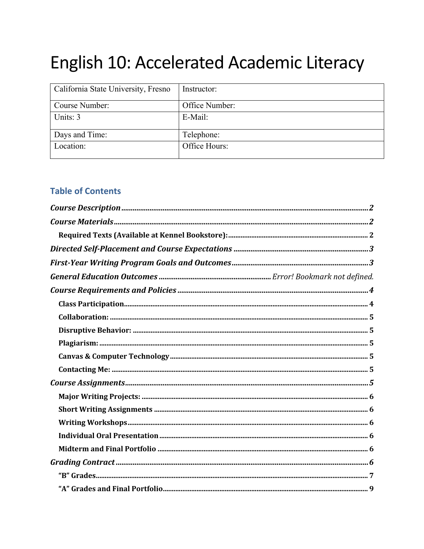# English 10: Accelerated Academic Literacy

| California State University, Fresno | Instructor:    |
|-------------------------------------|----------------|
| Course Number:                      | Office Number: |
| Units: 3                            | E-Mail:        |
| Days and Time:                      | Telephone:     |
| Location:                           | Office Hours:  |

# **Table of Contents**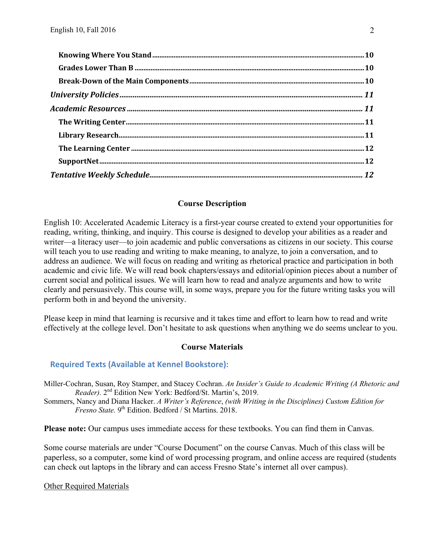## **Course Description**

English 10: Accelerated Academic Literacy is a first-year course created to extend your opportunities for reading, writing, thinking, and inquiry. This course is designed to develop your abilities as a reader and writer—a literacy user—to join academic and public conversations as citizens in our society. This course will teach you to use reading and writing to make meaning, to analyze, to join a conversation, and to address an audience. We will focus on reading and writing as rhetorical practice and participation in both academic and civic life. We will read book chapters/essays and editorial/opinion pieces about a number of current social and political issues. We will learn how to read and analyze arguments and how to write clearly and persuasively. This course will, in some ways, prepare you for the future writing tasks you will perform both in and beyond the university.

Please keep in mind that learning is recursive and it takes time and effort to learn how to read and write effectively at the college level. Don't hesitate to ask questions when anything we do seems unclear to you.

## **Course Materials**

## **Required Texts (Available at Kennel Bookstore):**

Miller-Cochran, Susan, Roy Stamper, and Stacey Cochran. *An Insider's Guide to Academic Writing (A Rhetoric and Reader).* 2nd Edition New York: Bedford/St. Martin's, 2019. Sommers, Nancy and Diana Hacker. *A Writer's Reference*, *(with Writing in the Disciplines) Custom Edition for Fresno State.* 9<sup>th</sup> Edition. Bedford / St Martins. 2018.

**Please note:** Our campus uses immediate access for these textbooks. You can find them in Canvas.

Some course materials are under "Course Document" on the course Canvas. Much of this class will be paperless, so a computer, some kind of word processing program, and online access are required (students can check out laptops in the library and can access Fresno State's internet all over campus).

Other Required Materials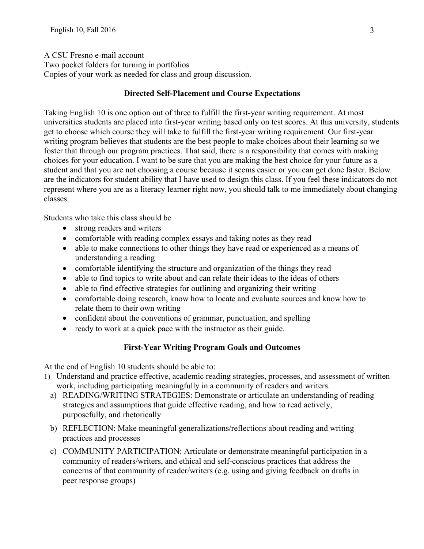A CSU Fresno e-mail account

Two pocket folders for turning in portfolios

Copies of your work as needed for class and group discussion.

## **Directed Self-Placement and Course Expectations**

Taking English 10 is one option out of three to fulfill the first-year writing requirement. At most universities students are placed into first-year writing based only on test scores. At this university, students get to choose which course they will take to fulfill the first-year writing requirement. Our first-year writing program believes that students are the best people to make choices about their learning so we foster that through our program practices. That said, there is a responsibility that comes with making choices for your education. I want to be sure that you are making the best choice for your future as a student and that you are not choosing a course because it seems easier or you can get done faster. Below are the indicators for student ability that I have used to design this class. If you feel these indicators do not represent where you are as a literacy learner right now, you should talk to me immediately about changing classes.

Students who take this class should be

- strong readers and writers
- comfortable with reading complex essays and taking notes as they read
- able to make connections to other things they have read or experienced as a means of understanding a reading
- comfortable identifying the structure and organization of the things they read
- able to find topics to write about and can relate their ideas to the ideas of others
- able to find effective strategies for outlining and organizing their writing
- comfortable doing research, know how to locate and evaluate sources and know how to relate them to their own writing
- confident about the conventions of grammar, punctuation, and spelling
- ready to work at a quick pace with the instructor as their guide.

# **First-Year Writing Program Goals and Outcomes**

At the end of English 10 students should be able to:

- 1) Understand and practice effective, academic reading strategies, processes, and assessment of written work, including participating meaningfully in a community of readers and writers.
	- a) READING/WRITING STRATEGIES: Demonstrate or articulate an understanding of reading strategies and assumptions that guide effective reading, and how to read actively, purposefully, and rhetorically
	- b) REFLECTION: Make meaningful generalizations/reflections about reading and writing practices and processes
	- c) COMMUNITY PARTICIPATION: Articulate or demonstrate meaningful participation in a community of readers/writers, and ethical and self-conscious practices that address the concerns of that community of reader/writers (e.g. using and giving feedback on drafts in peer response groups)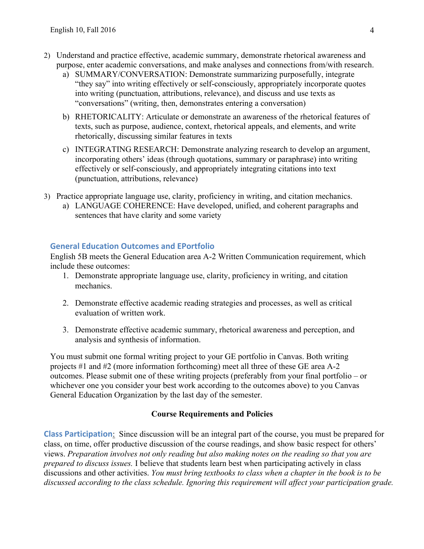- 2) Understand and practice effective, academic summary, demonstrate rhetorical awareness and purpose, enter academic conversations, and make analyses and connections from/with research.
	- a) SUMMARY/CONVERSATION: Demonstrate summarizing purposefully, integrate "they say" into writing effectively or self-consciously, appropriately incorporate quotes into writing (punctuation, attributions, relevance), and discuss and use texts as "conversations" (writing, then, demonstrates entering a conversation)
	- b) RHETORICALITY: Articulate or demonstrate an awareness of the rhetorical features of texts, such as purpose, audience, context, rhetorical appeals, and elements, and write rhetorically, discussing similar features in texts
	- c) INTEGRATING RESEARCH: Demonstrate analyzing research to develop an argument, incorporating others' ideas (through quotations, summary or paraphrase) into writing effectively or self-consciously, and appropriately integrating citations into text (punctuation, attributions, relevance)
- 3) Practice appropriate language use, clarity, proficiency in writing, and citation mechanics.
	- a) LANGUAGE COHERENCE: Have developed, unified, and coherent paragraphs and sentences that have clarity and some variety

## **General Education Outcomes and EPortfolio**

English 5B meets the General Education area A-2 Written Communication requirement, which include these outcomes:

- 1. Demonstrate appropriate language use, clarity, proficiency in writing, and citation mechanics.
- 2. Demonstrate effective academic reading strategies and processes, as well as critical evaluation of written work.
- 3. Demonstrate effective academic summary, rhetorical awareness and perception, and analysis and synthesis of information.

You must submit one formal writing project to your GE portfolio in Canvas. Both writing projects #1 and #2 (more information forthcoming) meet all three of these GE area A-2 outcomes. Please submit one of these writing projects (preferably from your final portfolio – or whichever one you consider your best work according to the outcomes above) to you Canvas General Education Organization by the last day of the semester.

## **Course Requirements and Policies**

**Class Participation**: Since discussion will be an integral part of the course, you must be prepared for class, on time, offer productive discussion of the course readings, and show basic respect for others' views. *Preparation involves not only reading but also making notes on the reading so that you are prepared to discuss issues.* I believe that students learn best when participating actively in class discussions and other activities. *You must bring textbooks to class when a chapter in the book is to be discussed according to the class schedule. Ignoring this requirement will affect your participation grade.*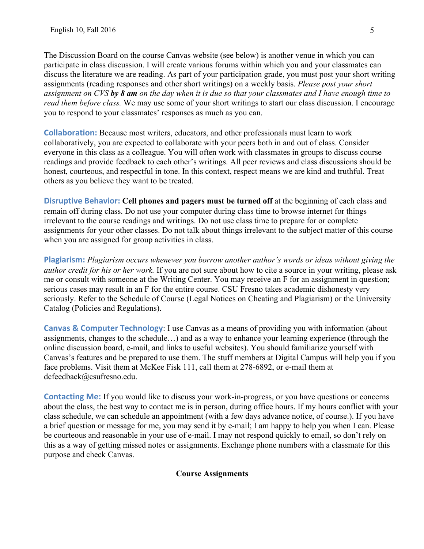The Discussion Board on the course Canvas website (see below) is another venue in which you can participate in class discussion. I will create various forums within which you and your classmates can discuss the literature we are reading. As part of your participation grade, you must post your short writing assignments (reading responses and other short writings) on a weekly basis. *Please post your short assignment on CVS by 8 am on the day when it is due so that your classmates and I have enough time to read them before class.* We may use some of your short writings to start our class discussion. I encourage you to respond to your classmates' responses as much as you can.

**Collaboration:** Because most writers, educators, and other professionals must learn to work collaboratively, you are expected to collaborate with your peers both in and out of class. Consider everyone in this class as a colleague. You will often work with classmates in groups to discuss course readings and provide feedback to each other's writings. All peer reviews and class discussions should be honest, courteous, and respectful in tone. In this context, respect means we are kind and truthful. Treat others as you believe they want to be treated.

**Disruptive Behavior: Cell phones and pagers must be turned off** at the beginning of each class and remain off during class. Do not use your computer during class time to browse internet for things irrelevant to the course readings and writings. Do not use class time to prepare for or complete assignments for your other classes. Do not talk about things irrelevant to the subject matter of this course when you are assigned for group activities in class.

**Plagiarism:** *Plagiarism occurs whenever you borrow another author's words or ideas without giving the author credit for his or her work.* If you are not sure about how to cite a source in your writing, please ask me or consult with someone at the Writing Center. You may receive an F for an assignment in question; serious cases may result in an F for the entire course. CSU Fresno takes academic dishonesty very seriously. Refer to the Schedule of Course (Legal Notices on Cheating and Plagiarism) or the University Catalog (Policies and Regulations).

**Canvas & Computer Technology**: I use Canvas as a means of providing you with information (about assignments, changes to the schedule…) and as a way to enhance your learning experience (through the online discussion board, e-mail, and links to useful websites). You should familiarize yourself with Canvas's features and be prepared to use them. The stuff members at Digital Campus will help you if you face problems. Visit them at McKee Fisk 111, call them at 278-6892, or e-mail them at dcfeedback@csufresno.edu.

**Contacting Me:** If you would like to discuss your work-in-progress, or you have questions or concerns about the class, the best way to contact me is in person, during office hours. If my hours conflict with your class schedule, we can schedule an appointment (with a few days advance notice, of course.). If you have a brief question or message for me, you may send it by e-mail; I am happy to help you when I can. Please be courteous and reasonable in your use of e-mail. I may not respond quickly to email, so don't rely on this as a way of getting missed notes or assignments. Exchange phone numbers with a classmate for this purpose and check Canvas.

## **Course Assignments**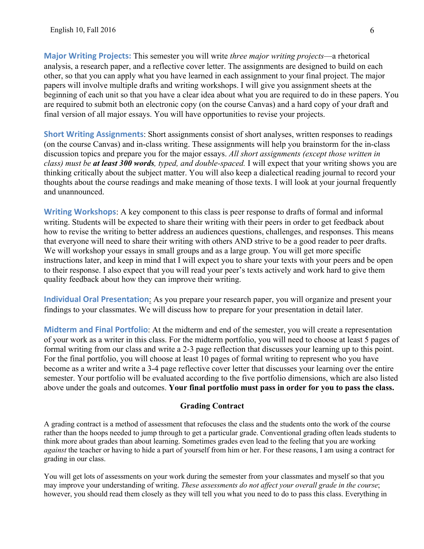**Major Writing Projects:** This semester you will write *three major writing projects*—a rhetorical analysis, a research paper, and a reflective cover letter. The assignments are designed to build on each other, so that you can apply what you have learned in each assignment to your final project. The major papers will involve multiple drafts and writing workshops. I will give you assignment sheets at the beginning of each unit so that you have a clear idea about what you are required to do in these papers. You are required to submit both an electronic copy (on the course Canvas) and a hard copy of your draft and final version of all major essays. You will have opportunities to revise your projects.

**Short Writing Assignments**: Short assignments consist of short analyses, written responses to readings (on the course Canvas) and in-class writing. These assignments will help you brainstorm for the in-class discussion topics and prepare you for the major essays. *All short assignments (except those written in class) must be at least 300 words, typed, and double-spaced.* I will expect that your writing shows you are thinking critically about the subject matter. You will also keep a dialectical reading journal to record your thoughts about the course readings and make meaning of those texts. I will look at your journal frequently and unannounced.

**Writing Workshops**: A key component to this class is peer response to drafts of formal and informal writing. Students will be expected to share their writing with their peers in order to get feedback about how to revise the writing to better address an audiences questions, challenges, and responses. This means that everyone will need to share their writing with others AND strive to be a good reader to peer drafts. We will workshop your essays in small groups and as a large group. You will get more specific instructions later, and keep in mind that I will expect you to share your texts with your peers and be open to their response. I also expect that you will read your peer's texts actively and work hard to give them quality feedback about how they can improve their writing.

**Individual Oral Presentation**: As you prepare your research paper, you will organize and present your findings to your classmates. We will discuss how to prepare for your presentation in detail later.

**Midterm and Final Portfolio**: At the midterm and end of the semester, you will create a representation of your work as a writer in this class. For the midterm portfolio, you will need to choose at least 5 pages of formal writing from our class and write a 2-3 page reflection that discusses your learning up to this point. For the final portfolio, you will choose at least 10 pages of formal writing to represent who you have become as a writer and write a 3-4 page reflective cover letter that discusses your learning over the entire semester. Your portfolio will be evaluated according to the five portfolio dimensions, which are also listed above under the goals and outcomes. **Your final portfolio must pass in order for you to pass the class.**

## **Grading Contract**

A grading contract is a method of assessment that refocuses the class and the students onto the work of the course rather than the hoops needed to jump through to get a particular grade. Conventional grading often leads students to think more about grades than about learning. Sometimes grades even lead to the feeling that you are working *against* the teacher or having to hide a part of yourself from him or her. For these reasons, I am using a contract for grading in our class.

You will get lots of assessments on your work during the semester from your classmates and myself so that you may improve your understanding of writing. *These assessments do not affect your overall grade in the course*; however, you should read them closely as they will tell you what you need to do to pass this class. Everything in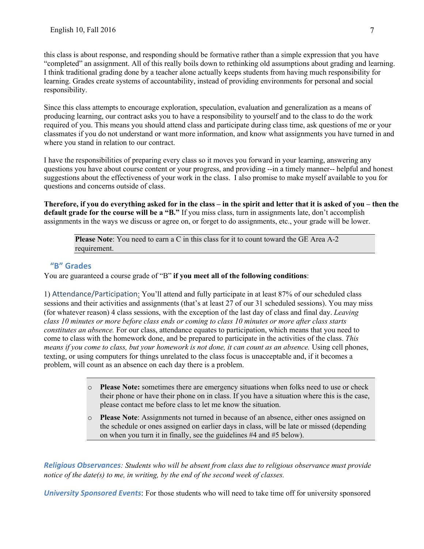this class is about response, and responding should be formative rather than a simple expression that you have "completed" an assignment. All of this really boils down to rethinking old assumptions about grading and learning. I think traditional grading done by a teacher alone actually keeps students from having much responsibility for learning. Grades create systems of accountability, instead of providing environments for personal and social responsibility.

Since this class attempts to encourage exploration, speculation, evaluation and generalization as a means of producing learning, our contract asks you to have a responsibility to yourself and to the class to do the work required of you. This means you should attend class and participate during class time, ask questions of me or your classmates if you do not understand or want more information, and know what assignments you have turned in and where you stand in relation to our contract.

I have the responsibilities of preparing every class so it moves you forward in your learning, answering any questions you have about course content or your progress, and providing --in a timely manner-- helpful and honest suggestions about the effectiveness of your work in the class. I also promise to make myself available to you for questions and concerns outside of class.

**Therefore, if you do everything asked for in the class – in the spirit and letter that it is asked of you – then the default grade for the course will be a "B."** If you miss class, turn in assignments late, don't accomplish assignments in the ways we discuss or agree on, or forget to do assignments, etc., your grade will be lower.

**Please Note**: You need to earn a C in this class for it to count toward the GE Area A-2 requirement.

## **"B" Grades**

You are guaranteed a course grade of "B" **if you meet all of the following conditions**:

1) Attendance/Participation: You'll attend and fully participate in at least 87% of our scheduled class sessions and their activities and assignments (that's at least 27 of our 31 scheduled sessions). You may miss (for whatever reason) 4 class sessions, with the exception of the last day of class and final day. *Leaving class 10 minutes or more before class ends or coming to class 10 minutes or more after class starts constitutes an absence.* For our class, attendance equates to participation, which means that you need to come to class with the homework done, and be prepared to participate in the activities of the class. *This means if you come to class, but your homework is not done, it can count as an absence.* Using cell phones, texting, or using computers for things unrelated to the class focus is unacceptable and, if it becomes a problem, will count as an absence on each day there is a problem.

- o **Please Note:** sometimes there are emergency situations when folks need to use or check their phone or have their phone on in class. If you have a situation where this is the case, please contact me before class to let me know the situation.
- o **Please Note**: Assignments not turned in because of an absence, either ones assigned on the schedule or ones assigned on earlier days in class, will be late or missed (depending on when you turn it in finally, see the guidelines #4 and #5 below).

*Religious Observances: Students who will be absent from class due to religious observance must provide notice of the date(s) to me, in writing, by the end of the second week of classes.*

*University Sponsored Events*: For those students who will need to take time off for university sponsored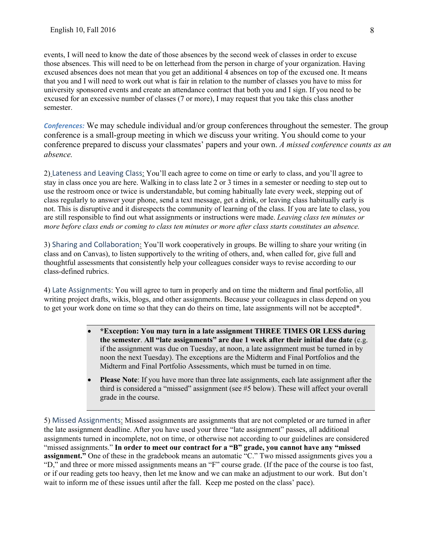events, I will need to know the date of those absences by the second week of classes in order to excuse those absences. This will need to be on letterhead from the person in charge of your organization. Having excused absences does not mean that you get an additional 4 absences on top of the excused one. It means that you and I will need to work out what is fair in relation to the number of classes you have to miss for university sponsored events and create an attendance contract that both you and I sign. If you need to be excused for an excessive number of classes (7 or more), I may request that you take this class another semester.

*Conferences:* We may schedule individual and/or group conferences throughout the semester. The group conference is a small-group meeting in which we discuss your writing. You should come to your conference prepared to discuss your classmates' papers and your own. *A missed conference counts as an absence.*

2) Lateness and Leaving Class: You'll each agree to come on time or early to class, and you'll agree to stay in class once you are here. Walking in to class late 2 or 3 times in a semester or needing to step out to use the restroom once or twice is understandable, but coming habitually late every week, stepping out of class regularly to answer your phone, send a text message, get a drink, or leaving class habitually early is not. This is disruptive and it disrespects the community of learning of the class. If you are late to class, you are still responsible to find out what assignments or instructions were made. *Leaving class ten minutes or more before class ends or coming to class ten minutes or more after class starts constitutes an absence.*

3) Sharing and Collaboration: You'll work cooperatively in groups. Be willing to share your writing (in class and on Canvas), to listen supportively to the writing of others, and, when called for, give full and thoughtful assessments that consistently help your colleagues consider ways to revise according to our class-defined rubrics.

4) Late Assignments: You will agree to turn in properly and on time the midterm and final portfolio, all writing project drafts, wikis, blogs, and other assignments. Because your colleagues in class depend on you to get your work done on time so that they can do theirs on time, late assignments will not be accepted\*.

- **\*Exception: You may turn in a late assignment THREE TIMES OR LESS during the semester**. **All "late assignments" are due 1 week after their initial due date** (e.g. if the assignment was due on Tuesday, at noon, a late assignment must be turned in by noon the next Tuesday). The exceptions are the Midterm and Final Portfolios and the Midterm and Final Portfolio Assessments, which must be turned in on time.
- **Please Note**: If you have more than three late assignments, each late assignment after the third is considered a "missed" assignment (see #5 below). These will affect your overall grade in the course.

5) Missed Assignments: Missed assignments are assignments that are not completed or are turned in after the late assignment deadline. After you have used your three "late assignment" passes, all additional assignments turned in incomplete, not on time, or otherwise not according to our guidelines are considered "missed assignments." **In order to meet our contract for a "B" grade, you cannot have any "missed assignment."** One of these in the gradebook means an automatic "C." Two missed assignments gives you a "D," and three or more missed assignments means an "F" course grade. (If the pace of the course is too fast, or if our reading gets too heavy, then let me know and we can make an adjustment to our work. But don't wait to inform me of these issues until after the fall. Keep me posted on the class' pace).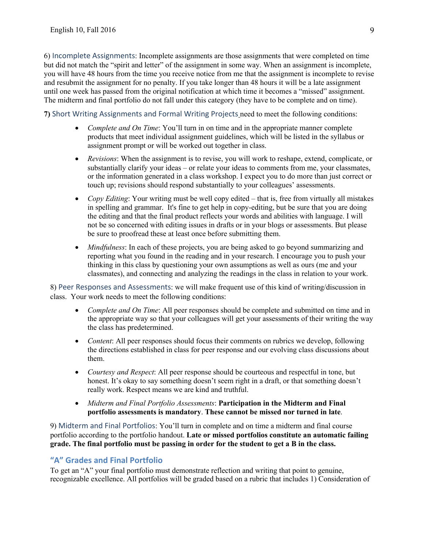6) Incomplete Assignments: Incomplete assignments are those assignments that were completed on time but did not match the "spirit and letter" of the assignment in some way. When an assignment is incomplete, you will have 48 hours from the time you receive notice from me that the assignment is incomplete to revise and resubmit the assignment for no penalty. If you take longer than 48 hours it will be a late assignment until one week has passed from the original notification at which time it becomes a "missed" assignment. The midterm and final portfolio do not fall under this category (they have to be complete and on time).

**7)** Short Writing Assignments and Formal Writing Projects need to meet the following conditions:

- *Complete and On Time*: You'll turn in on time and in the appropriate manner complete products that meet individual assignment guidelines, which will be listed in the syllabus or assignment prompt or will be worked out together in class.
- *Revisions*: When the assignment is to revise, you will work to reshape, extend, complicate, or substantially clarify your ideas – or relate your ideas to comments from me, your classmates, or the information generated in a class workshop. I expect you to do more than just correct or touch up; revisions should respond substantially to your colleagues' assessments.
- *Copy Editing*: Your writing must be well copy edited that is, free from virtually all mistakes in spelling and grammar. It's fine to get help in copy-editing, but be sure that you are doing the editing and that the final product reflects your words and abilities with language. I will not be so concerned with editing issues in drafts or in your blogs or assessments. But please be sure to proofread these at least once before submitting them.
- *Mindfulness*: In each of these projects, you are being asked to go beyond summarizing and reporting what you found in the reading and in your research. I encourage you to push your thinking in this class by questioning your own assumptions as well as ours (me and your classmates), and connecting and analyzing the readings in the class in relation to your work.

8) Peer Responses and Assessments: we will make frequent use of this kind of writing/discussion in class. Your work needs to meet the following conditions:

- *Complete and On Time*: All peer responses should be complete and submitted on time and in the appropriate way so that your colleagues will get your assessments of their writing the way the class has predetermined.
- *Content:* All peer responses should focus their comments on rubrics we develop, following the directions established in class for peer response and our evolving class discussions about them.
- *Courtesy and Respect*: All peer response should be courteous and respectful in tone, but honest. It's okay to say something doesn't seem right in a draft, or that something doesn't really work. Respect means we are kind and truthful.
- *Midterm and Final Portfolio Assessments*: **Participation in the Midterm and Final portfolio assessments is mandatory**. **These cannot be missed nor turned in late**.

9) Midterm and Final Portfolios: You'll turn in complete and on time a midterm and final course portfolio according to the portfolio handout. **Late or missed portfolios constitute an automatic failing grade. The final portfolio must be passing in order for the student to get a B in the class.**

# **"A" Grades and Final Portfolio**

To get an "A" your final portfolio must demonstrate reflection and writing that point to genuine, recognizable excellence. All portfolios will be graded based on a rubric that includes 1) Consideration of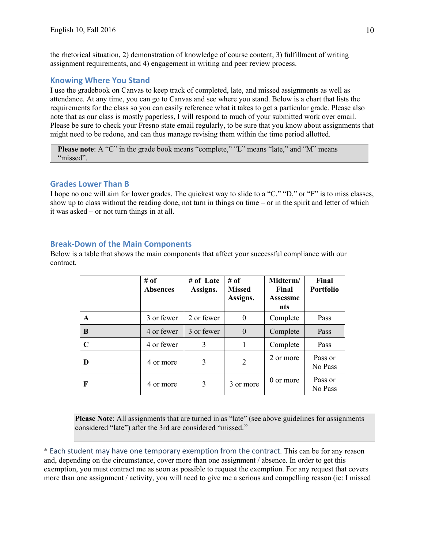the rhetorical situation, 2) demonstration of knowledge of course content, 3) fulfillment of writing assignment requirements, and 4) engagement in writing and peer review process.

#### **Knowing Where You Stand**

I use the gradebook on Canvas to keep track of completed, late, and missed assignments as well as attendance. At any time, you can go to Canvas and see where you stand. Below is a chart that lists the requirements for the class so you can easily reference what it takes to get a particular grade. Please also note that as our class is mostly paperless, I will respond to much of your submitted work over email. Please be sure to check your Fresno state email regularly, to be sure that you know about assignments that might need to be redone, and can thus manage revising them within the time period allotted.

**Please note:** A "C" in the grade book means "complete," "L" means "late," and "M" means "missed".

#### **Grades Lower Than B**

I hope no one will aim for lower grades. The quickest way to slide to a "C," "D," or "F" is to miss classes, show up to class without the reading done, not turn in things on time – or in the spirit and letter of which it was asked – or not turn things in at all.

#### **Break-Down of the Main Components**

Below is a table that shows the main components that affect your successful compliance with our contract.

|              | # of<br><b>Absences</b> | # of Late<br>Assigns. | # of<br><b>Missed</b><br>Assigns. | Midterm/<br>Final<br><b>Assessme</b><br>nts | Final<br><b>Portfolio</b> |
|--------------|-------------------------|-----------------------|-----------------------------------|---------------------------------------------|---------------------------|
| $\mathbf{A}$ | 3 or fewer              | 2 or fewer            | $\boldsymbol{0}$                  | Complete                                    | Pass                      |
| B            | 4 or fewer              | 3 or fewer            | $\theta$                          | Complete                                    | Pass                      |
| $\mathbf C$  | 4 or fewer              | 3                     | 1                                 | Complete                                    | Pass                      |
| D            | 4 or more               | 3                     | 2                                 | 2 or more                                   | Pass or<br>No Pass        |
| F            | 4 or more               | 3                     | 3 or more                         | 0 or more                                   | Pass or<br>No Pass        |

Please Note: All assignments that are turned in as "late" (see above guidelines for assignments considered "late") after the 3rd are considered "missed."

\* Each student may have one temporary exemption from the contract. This can be for any reason and, depending on the circumstance, cover more than one assignment / absence. In order to get this exemption, you must contract me as soon as possible to request the exemption. For any request that covers more than one assignment / activity, you will need to give me a serious and compelling reason (ie: I missed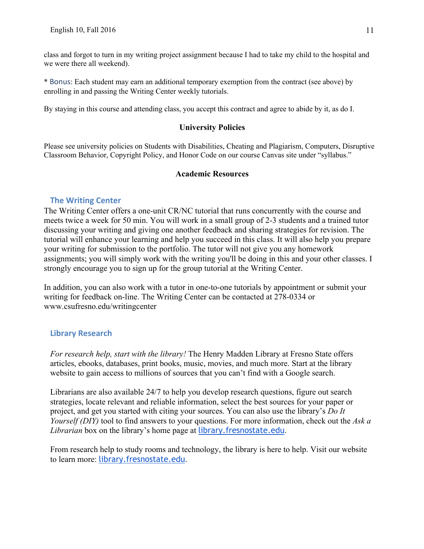class and forgot to turn in my writing project assignment because I had to take my child to the hospital and we were there all weekend).

\* Bonus: Each student may earn an additional temporary exemption from the contract (see above) by enrolling in and passing the Writing Center weekly tutorials.

By staying in this course and attending class, you accept this contract and agree to abide by it, as do I.

## **University Policies**

Please see university policies on Students with Disabilities, Cheating and Plagiarism, Computers, Disruptive Classroom Behavior, Copyright Policy, and Honor Code on our course Canvas site under "syllabus."

## **Academic Resources**

## **The Writing Center**

The Writing Center offers a one-unit CR/NC tutorial that runs concurrently with the course and meets twice a week for 50 min. You will work in a small group of 2-3 students and a trained tutor discussing your writing and giving one another feedback and sharing strategies for revision. The tutorial will enhance your learning and help you succeed in this class. It will also help you prepare your writing for submission to the portfolio. The tutor will not give you any homework assignments; you will simply work with the writing you'll be doing in this and your other classes. I strongly encourage you to sign up for the group tutorial at the Writing Center.

In addition, you can also work with a tutor in one-to-one tutorials by appointment or submit your writing for feedback on-line. The Writing Center can be contacted at 278-0334 or www.csufresno.edu/writingcenter

## **Library Research**

*For research help, start with the library!* The Henry Madden Library at Fresno State offers articles, ebooks, databases, print books, music, movies, and much more. Start at the library website to gain access to millions of sources that you can't find with a Google search.

Librarians are also available 24/7 to help you develop research questions, figure out search strategies, locate relevant and reliable information, select the best sources for your paper or project, and get you started with citing your sources. You can also use the library's *Do It Yourself (DIY)* tool to find answers to your questions. For more information, check out the *Ask a Librarian* box on the library's home page at library.fresnostate.edu.

From research help to study rooms and technology, the library is here to help. Visit our website to learn more: library.fresnostate.edu.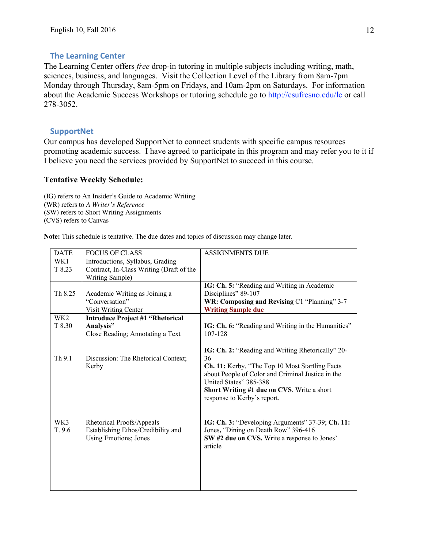## **The Learning Center**

The Learning Center offers *free* drop-in tutoring in multiple subjects including writing, math, sciences, business, and languages. Visit the Collection Level of the Library from 8am-7pm Monday through Thursday, 8am-5pm on Fridays, and 10am-2pm on Saturdays. For information about the Academic Success Workshops or tutoring schedule go to http://csufresno.edu/lc or call 278-3052.

## **SupportNet**

Our campus has developed SupportNet to connect students with specific campus resources promoting academic success. I have agreed to participate in this program and may refer you to it if I believe you need the services provided by SupportNet to succeed in this course.

## **Tentative Weekly Schedule:**

(IG) refers to An Insider's Guide to Academic Writing (WR) refers to *A Writer's Reference* (SW) refers to Short Writing Assignments (CVS) refers to Canvas

**Note:** This schedule is tentative. The due dates and topics of discussion may change later.

| <b>DATE</b>     | <b>FOCUS OF CLASS</b>                    | <b>ASSIGNMENTS DUE</b>                             |
|-----------------|------------------------------------------|----------------------------------------------------|
| WK1             | Introductions, Syllabus, Grading         |                                                    |
| T 8.23          | Contract, In-Class Writing (Draft of the |                                                    |
|                 | Writing Sample)                          |                                                    |
|                 |                                          | IG: Ch. 5: "Reading and Writing in Academic        |
| Th 8.25         | Academic Writing as Joining a            | Disciplines" 89-107                                |
|                 | "Conversation"                           | WR: Composing and Revising C1 "Planning" 3-7       |
|                 | Visit Writing Center                     | <b>Writing Sample due</b>                          |
| WK <sub>2</sub> | <b>Introduce Project #1 "Rhetorical</b>  |                                                    |
| T 8.30          | Analysis"                                | IG: Ch. 6: "Reading and Writing in the Humanities" |
|                 | Close Reading; Annotating a Text         | 107-128                                            |
|                 |                                          |                                                    |
|                 |                                          | IG: Ch. 2: "Reading and Writing Rhetorically" 20-  |
| Th 9.1          | Discussion: The Rhetorical Context;      | 36                                                 |
|                 | Kerby                                    | Ch. 11: Kerby, "The Top 10 Most Startling Facts    |
|                 |                                          | about People of Color and Criminal Justice in the  |
|                 |                                          | United States" 385-388                             |
|                 |                                          | Short Writing #1 due on CVS. Write a short         |
|                 |                                          | response to Kerby's report.                        |
|                 |                                          |                                                    |
|                 |                                          |                                                    |
| WK3             | Rhetorical Proofs/Appeals—               | IG: Ch. 3: "Developing Arguments" 37-39; Ch. 11:   |
| T. 9.6          | Establishing Ethos/Credibility and       | Jones, "Dining on Death Row" 396-416               |
|                 | Using Emotions; Jones                    | SW #2 due on CVS. Write a response to Jones'       |
|                 |                                          | article                                            |
|                 |                                          |                                                    |
|                 |                                          |                                                    |
|                 |                                          |                                                    |
|                 |                                          |                                                    |
|                 |                                          |                                                    |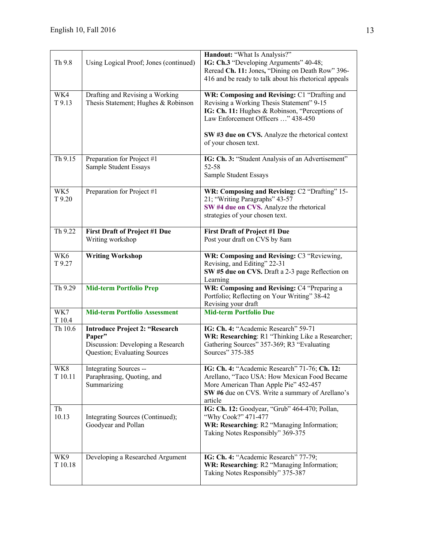| Th 9.8                                   | Using Logical Proof; Jones (continued)                                                                               | Handout: "What Is Analysis?"<br>IG: Ch.3 "Developing Arguments" 40-48;<br>Reread Ch. 11: Jones, "Dining on Death Row" 396-<br>416 and be ready to talk about his rhetorical appeals                                                                           |
|------------------------------------------|----------------------------------------------------------------------------------------------------------------------|---------------------------------------------------------------------------------------------------------------------------------------------------------------------------------------------------------------------------------------------------------------|
| WK4<br>T 9.13                            | Drafting and Revising a Working<br>Thesis Statement; Hughes & Robinson                                               | WR: Composing and Revising: C1 "Drafting and<br>Revising a Working Thesis Statement" 9-15<br>IG: Ch. 11: Hughes & Robinson, "Perceptions of<br>Law Enforcement Officers " 438-450<br>SW #3 due on CVS. Analyze the rhetorical context<br>of your chosen text. |
| Th 9.15                                  | Preparation for Project #1<br>Sample Student Essays                                                                  | IG: Ch. 3: "Student Analysis of an Advertisement"<br>52-58<br>Sample Student Essays                                                                                                                                                                           |
| WK5<br>T 9.20                            | Preparation for Project #1                                                                                           | WR: Composing and Revising: C2 "Drafting" 15-<br>21; "Writing Paragraphs" 43-57<br>SW #4 due on CVS. Analyze the rhetorical<br>strategies of your chosen text.                                                                                                |
| $\overline{Th}$ 9.22                     | <b>First Draft of Project #1 Due</b><br>Writing workshop                                                             | <b>First Draft of Project #1 Due</b><br>Post your draft on CVS by 8am                                                                                                                                                                                         |
| WK6<br>T 9.27                            | <b>Writing Workshop</b>                                                                                              | WR: Composing and Revising: C3 "Reviewing,<br>Revising, and Editing" 22-31<br>SW #5 due on CVS. Draft a 2-3 page Reflection on<br>Learning                                                                                                                    |
| Th 9.29                                  | <b>Mid-term Portfolio Prep</b>                                                                                       | WR: Composing and Revising: C4 "Preparing a<br>Portfolio; Reflecting on Your Writing" 38-42<br>Revising your draft                                                                                                                                            |
| $\overline{\text{W}}\text{K}7$<br>T 10.4 | <b>Mid-term Portfolio Assessment</b>                                                                                 | <b>Mid-term Portfolio Due</b>                                                                                                                                                                                                                                 |
| Th 10.6                                  | <b>Introduce Project 2: "Research</b><br>Paper"<br>Discussion: Developing a Research<br>Question; Evaluating Sources | IG: Ch. 4: "Academic Research" 59-71<br>WR: Researching: R1 "Thinking Like a Researcher;<br>Gathering Sources" 357-369; R3 "Evaluating<br>Sources" 375-385                                                                                                    |
| WK8<br>T 10.11                           | Integrating Sources --<br>Paraphrasing, Quoting, and<br>Summarizing                                                  | IG: Ch. 4: "Academic Research" 71-76; Ch. 12:<br>Arellano, "Taco USA: How Mexican Food Became<br>More American Than Apple Pie" 452-457<br>SW #6 due on CVS. Write a summary of Arellano's<br>article                                                          |
| Th<br>10.13                              | Integrating Sources (Continued);<br>Goodyear and Pollan                                                              | IG: Ch. 12: Goodyear, "Grub" 464-470; Pollan,<br>"Why Cook?" 471-477<br>WR: Researching: R2 "Managing Information;<br>Taking Notes Responsibly" 369-375                                                                                                       |
| WK9<br>T 10.18                           | Developing a Researched Argument                                                                                     | IG: Ch. 4: "Academic Research" 77-79;<br>WR: Researching: R2 "Managing Information;<br>Taking Notes Responsibly" 375-387                                                                                                                                      |